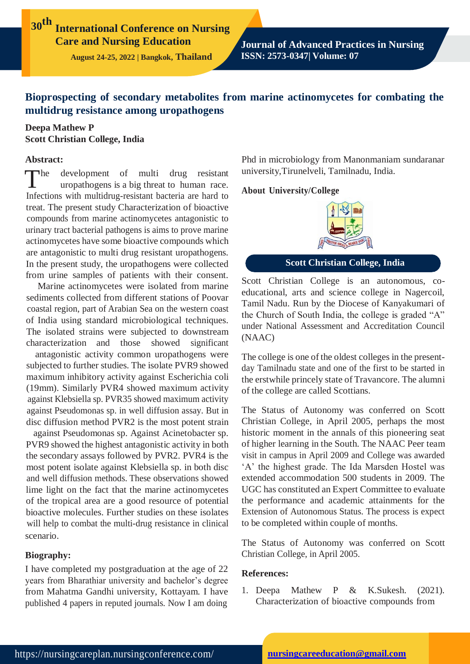**30th International Conference on Nursing Care and Nursing Education**

**August 24-25, 2022 | Bangkok, Thailand**

**Journal of Advanced Practices in Nursing ISSN: 2573-0347| Volume: 07**

# **Bioprospecting of secondary metabolites from marine actinomycetes for combating the multidrug resistance among uropathogens**

# **Deepa Mathew P Scott Christian College, India**

### **Abstract:**

 $\blacksquare$ development of multi drug resistant uropathogens is a big threat to human race. Infections with multidrug-resistant bacteria are hard to treat. The present study Characterization of bioactive compounds from marine actinomycetes antagonistic to urinary tract bacterial pathogens is aims to prove marine actinomycetes have some bioactive compounds which are antagonistic to multi drug resistant uropathogens. In the present study, the uropathogens were collected from urine samples of patients with their consent.

Marine actinomycetes were isolated from marine sediments collected from different stations of Poovar coastal region, part of Arabian Sea on the western coast of India using standard microbiological techniques. The isolated strains were subjected to downstream characterization and those showed significant

antagonistic activity common uropathogens were subjected to further studies. The isolate PVR9 showed maximum inhibitory activity against Escherichia coli (19mm). Similarly PVR4 showed maximum activity against Klebsiella sp. PVR35 showed maximum activity against Pseudomonas sp. in well diffusion assay. But in disc diffusion method PVR2 is the most potent strain

against Pseudomonas sp. Against Acinetobacter sp. PVR9 showed the highest antagonistic activity in both the secondary assays followed by PVR2. PVR4 is the most potent isolate against Klebsiella sp. in both disc and well diffusion methods. These observations showed lime light on the fact that the marine actinomycetes of the tropical area are a good resource of potential bioactive molecules. Further studies on these isolates will help to combat the multi-drug resistance in clinical scenario.

#### **Biography:**

I have completed my postgraduation at the age of 22 years from Bharathiar university and bachelor's degree from Mahatma Gandhi university, Kottayam. I have published 4 papers in reputed journals. Now I am doing

Phd in microbiology from Manonmaniam sundaranar university,Tirunelveli, Tamilnadu, India.

#### **About University/College**



# **Scott Christian College, India**

Scott Christian College is an autonomous, coeducational, arts and science college in Nagercoil, Tamil Nadu. Run by the Diocese of Kanyakumari of the Church of South India, the college is graded "A" under National Assessment and Accreditation Council (NAAC)

The college is one of the oldest colleges in the presentday Tamilnadu state and one of the first to be started in the erstwhile princely state of Travancore. The alumni of the college are called Scottians.

The Status of Autonomy was conferred on Scott Christian College, in April 2005, perhaps the most historic moment in the annals of this pioneering seat of higher learning in the South. The NAAC Peer team visit in campus in April 2009 and College was awarded 'A' the highest grade. The Ida Marsden Hostel was extended accommodation 500 students in 2009. The UGC has constituted an Expert Committee to evaluate the performance and academic attainments for the Extension of Autonomous Status. The process is expect to be completed within couple of months.

The Status of Autonomy was conferred on Scott Christian College, in April 2005.

### **References:**

1. Deepa Mathew P & K.Sukesh. (2021). Characterization of bioactive compounds from